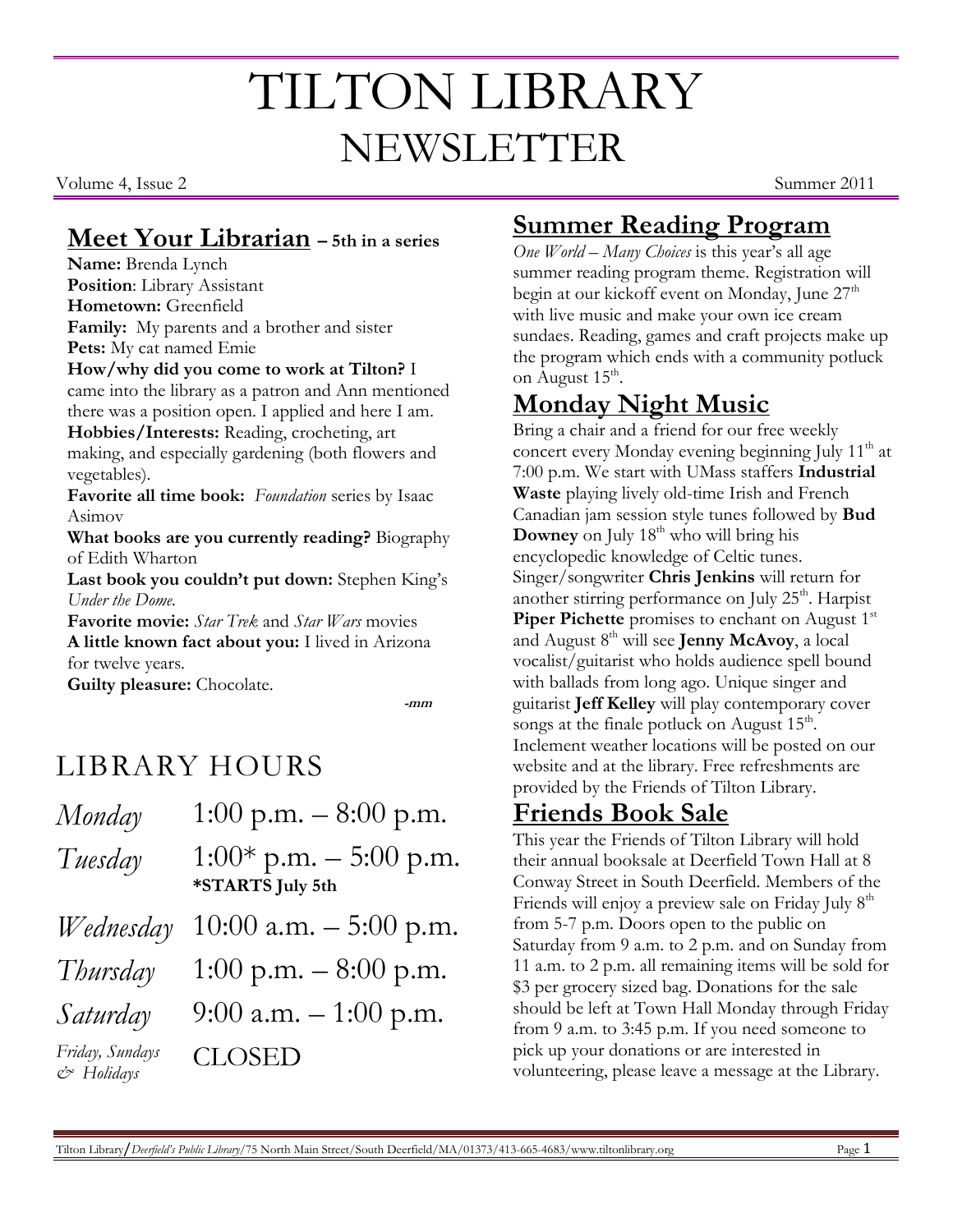# TILTON LIBRARY NEWSLETTER

Volume 4, Issue 2 Summer 2011

#### **Meet Your Librarian – 5th in a series**

**Name:** Brenda Lynch **Position**: Library Assistant **Hometown:** Greenfield **Family:** My parents and a brother and sister **Pets:** My cat named Emie

**How/why did you come to work at Tilton?** I

came into the library as a patron and Ann mentioned there was a position open. I applied and here I am.

**Hobbies/Interests:** Reading, crocheting, art making, and especially gardening (both flowers and vegetables).

**Favorite all time book:** *Foundation* series by Isaac Asimov

**What books are you currently reading?** Biography of Edith Wharton

Last book you couldn't put down: Stephen King's *Under the Dome.*

**Favorite movie:** *Star Trek* and *Star Wars* movies **A little known fact about you:** I lived in Arizona for twelve years.

**Guilty pleasure:** Chocolate.

**-mm**

## LIBRARY HOURS

| Monday                            | 1:00 p.m. $-8:00$ p.m.                        |
|-----------------------------------|-----------------------------------------------|
| Tuesday                           | $1:00*$ p.m. $-5:00$ p.m.<br>*STARTS July 5th |
| Wednesday                         | $10:00$ a.m. $-5:00$ p.m.                     |
| Thursday                          | 1:00 p.m. $-8:00$ p.m.                        |
| Saturday                          | 9:00 a.m. $-1:00$ p.m.                        |
| Friday, Sundays<br>$C^*$ Holidays | <b>CLOSED</b>                                 |

### **Summer Reading Program**

*One World – Many Choices* is this year's all age summer reading program theme. Registration will begin at our kickoff event on Monday, June 27<sup>th</sup> with live music and make your own ice cream sundaes. Reading, games and craft projects make up the program which ends with a community potluck on August 15<sup>th</sup>.

## **Monday Night Music**

Bring a chair and a friend for our free weekly concert every Monday evening beginning July  $11<sup>th</sup>$  at 7:00 p.m. We start with UMass staffers **Industrial Waste** playing lively old-time Irish and French Canadian jam session style tunes followed by **Bud Downey** on July 18<sup>th</sup> who will bring his encyclopedic knowledge of Celtic tunes. Singer/songwriter **Chris Jenkins** will return for another stirring performance on July 25<sup>th</sup>. Harpist **Piper Pichette** promises to enchant on August 1<sup>st</sup> and August 8 th will see **Jenny McAvoy**, a local vocalist/guitarist who holds audience spell bound with ballads from long ago. Unique singer and guitarist **Jeff Kelley** will play contemporary cover songs at the finale potluck on August  $15<sup>th</sup>$ . Inclement weather locations will be posted on our website and at the library. Free refreshments are provided by the Friends of Tilton Library.

#### **Friends Book Sale**

This year the Friends of Tilton Library will hold their annual booksale at Deerfield Town Hall at 8 Conway Street in South Deerfield. Members of the Friends will enjoy a preview sale on Friday July 8<sup>th</sup> from 5-7 p.m. Doors open to the public on Saturday from 9 a.m. to 2 p.m. and on Sunday from 11 a.m. to 2 p.m. all remaining items will be sold for \$3 per grocery sized bag. Donations for the sale should be left at Town Hall Monday through Friday from 9 a.m. to 3:45 p.m. If you need someone to pick up your donations or are interested in volunteering, please leave a message at the Library.